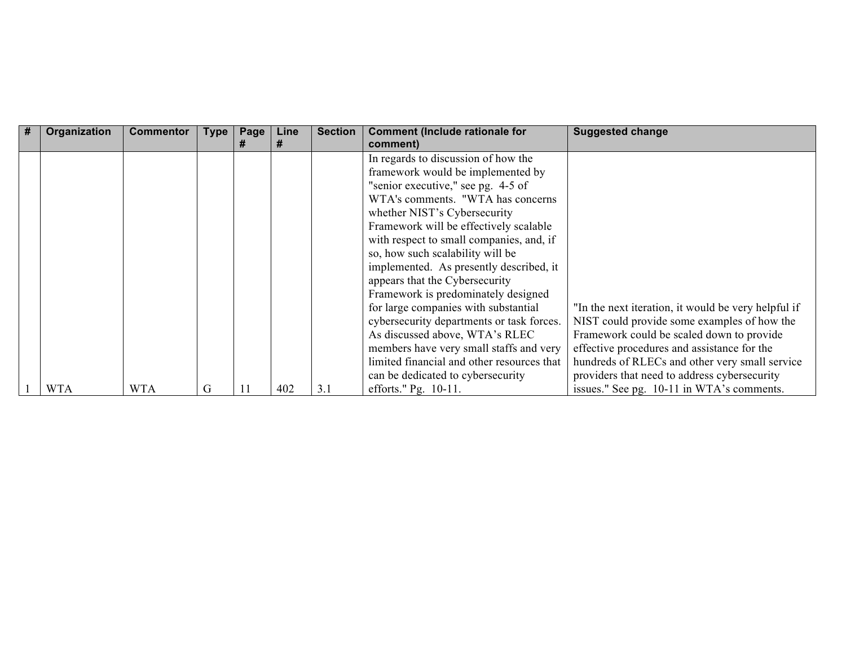| # | Organization | <b>Commentor</b> | <b>Type</b> | Page | Line | <b>Section</b> | <b>Comment (Include rationale for</b><br>comment) | <b>Suggested change</b>                             |
|---|--------------|------------------|-------------|------|------|----------------|---------------------------------------------------|-----------------------------------------------------|
|   |              |                  |             |      |      |                | In regards to discussion of how the               |                                                     |
|   |              |                  |             |      |      |                | framework would be implemented by                 |                                                     |
|   |              |                  |             |      |      |                | "senior executive," see pg. 4-5 of                |                                                     |
|   |              |                  |             |      |      |                | WTA's comments. "WTA has concerns                 |                                                     |
|   |              |                  |             |      |      |                | whether NIST's Cybersecurity                      |                                                     |
|   |              |                  |             |      |      |                | Framework will be effectively scalable            |                                                     |
|   |              |                  |             |      |      |                | with respect to small companies, and, if          |                                                     |
|   |              |                  |             |      |      |                | so, how such scalability will be                  |                                                     |
|   |              |                  |             |      |      |                | implemented. As presently described, it           |                                                     |
|   |              |                  |             |      |      |                | appears that the Cybersecurity                    |                                                     |
|   |              |                  |             |      |      |                | Framework is predominately designed               |                                                     |
|   |              |                  |             |      |      |                | for large companies with substantial              | "In the next iteration, it would be very helpful if |
|   |              |                  |             |      |      |                | cybersecurity departments or task forces.         | NIST could provide some examples of how the         |
|   |              |                  |             |      |      |                | As discussed above, WTA's RLEC                    | Framework could be scaled down to provide           |
|   |              |                  |             |      |      |                | members have very small staffs and very           | effective procedures and assistance for the         |
|   |              |                  |             |      |      |                | limited financial and other resources that        | hundreds of RLECs and other very small service      |
|   |              |                  |             |      |      |                | can be dedicated to cybersecurity                 | providers that need to address cybersecurity        |
|   | <b>WTA</b>   | <b>WTA</b>       | G           |      | 402  | 3.1            | efforts." Pg. 10-11.                              | issues." See pg. 10-11 in WTA's comments.           |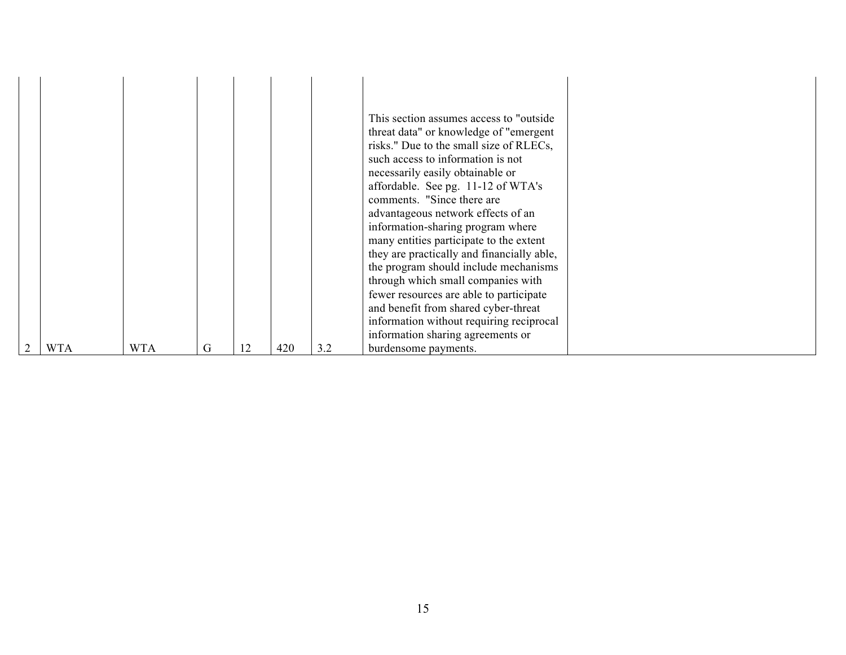| <b>WTA</b> | <b>WTA</b> | G | 12 | 420 | 3.2 | This section assumes access to "outside"<br>threat data" or knowledge of "emergent"<br>risks." Due to the small size of RLECs,<br>such access to information is not<br>necessarily easily obtainable or<br>affordable. See pg. 11-12 of WTA's<br>comments. "Since there are<br>advantageous network effects of an<br>information-sharing program where<br>many entities participate to the extent<br>they are practically and financially able,<br>the program should include mechanisms<br>through which small companies with<br>fewer resources are able to participate<br>and benefit from shared cyber-threat<br>information without requiring reciprocal<br>information sharing agreements or<br>burdensome payments. |  |
|------------|------------|---|----|-----|-----|----------------------------------------------------------------------------------------------------------------------------------------------------------------------------------------------------------------------------------------------------------------------------------------------------------------------------------------------------------------------------------------------------------------------------------------------------------------------------------------------------------------------------------------------------------------------------------------------------------------------------------------------------------------------------------------------------------------------------|--|
|            |            |   |    |     |     |                                                                                                                                                                                                                                                                                                                                                                                                                                                                                                                                                                                                                                                                                                                            |  |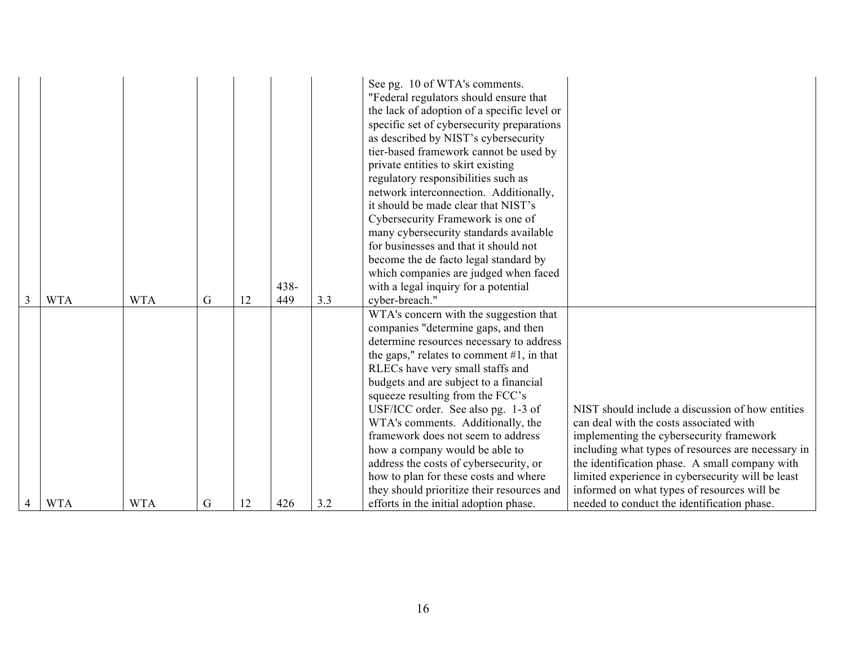| <b>WTA</b> | <b>WTA</b> | G | 12 | $438 -$<br>449 | 3.3 | network interconnection. Additionally,<br>it should be made clear that NIST's<br>Cybersecurity Framework is one of<br>many cybersecurity standards available<br>for businesses and that it should not<br>become the de facto legal standard by<br>which companies are judged when faced<br>with a legal inquiry for a potential<br>cyber-breach."<br>WTA's concern with the suggestion that<br>companies "determine gaps, and then<br>determine resources necessary to address<br>the gaps," relates to comment $#1$ , in that<br>RLECs have very small staffs and<br>budgets and are subject to a financial<br>squeeze resulting from the FCC's<br>USF/ICC order. See also pg. 1-3 of | NIST should include a discussion of how entities                                                                                                                                                                                                                                                |
|------------|------------|---|----|----------------|-----|----------------------------------------------------------------------------------------------------------------------------------------------------------------------------------------------------------------------------------------------------------------------------------------------------------------------------------------------------------------------------------------------------------------------------------------------------------------------------------------------------------------------------------------------------------------------------------------------------------------------------------------------------------------------------------------|-------------------------------------------------------------------------------------------------------------------------------------------------------------------------------------------------------------------------------------------------------------------------------------------------|
|            |            |   |    |                |     | WTA's comments. Additionally, the<br>framework does not seem to address<br>how a company would be able to<br>address the costs of cybersecurity, or<br>how to plan for these costs and where<br>they should prioritize their resources and                                                                                                                                                                                                                                                                                                                                                                                                                                             | can deal with the costs associated with<br>implementing the cybersecurity framework<br>including what types of resources are necessary in<br>the identification phase. A small company with<br>limited experience in cybersecurity will be least<br>informed on what types of resources will be |